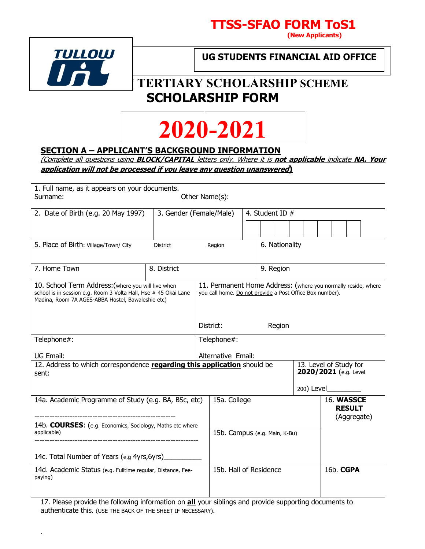



.

**UG STUDENTS FINANCIAL AID OFFICE**

# TERTIARY SCHOLARSHIP SCHEME **SCHOLARSHIP FORM**



## **SECTION A – APPLICANT'S BACKGROUND INFORMATION**

(Complete all questions using **BLOCK/CAPITAL** letters only. Where it is **not applicable** indicate **NA. Your application will not be processed if you leave any question unanswered)** 

| 1. Full name, as it appears on your documents.<br>Surname:                                                                                                                 |                         | Other Name(s):                                           |                               |            |                                                               |
|----------------------------------------------------------------------------------------------------------------------------------------------------------------------------|-------------------------|----------------------------------------------------------|-------------------------------|------------|---------------------------------------------------------------|
| 2. Date of Birth (e.g. 20 May 1997)                                                                                                                                        | 3. Gender (Female/Male) |                                                          | 4. Student ID $#$             |            |                                                               |
|                                                                                                                                                                            |                         |                                                          |                               |            |                                                               |
| 5. Place of Birth: Village/Town/ City                                                                                                                                      | <b>District</b>         | Region                                                   | 6. Nationality                |            |                                                               |
| 7. Home Town                                                                                                                                                               | 8. District             |                                                          | 9. Region                     |            |                                                               |
| 10. School Term Address: (where you will live when<br>school is in session e.g. Room 3 Volta Hall, Hse # 45 Okai Lane<br>Madina, Room 7A AGES-ABBA Hostel, Bawaleshie etc) |                         | you call home. Do not provide a Post Office Box number). |                               |            | 11. Permanent Home Address: (where you normally reside, where |
|                                                                                                                                                                            |                         | District:                                                | Region                        |            |                                                               |
| Telephone#:                                                                                                                                                                |                         | Telephone#:                                              |                               |            |                                                               |
| UG Email:                                                                                                                                                                  |                         | Alternative Email:                                       |                               |            |                                                               |
| 12. Address to which correspondence regarding this application should be<br>sent:                                                                                          |                         |                                                          |                               |            | 13. Level of Study for<br>2020/2021 (e.g. Level               |
|                                                                                                                                                                            |                         |                                                          |                               | 200) Level |                                                               |
| 14a. Academic Programme of Study (e.g. BA, BSc, etc)                                                                                                                       |                         | 15a. College                                             |                               |            | 16. WASSCE<br><b>RESULT</b><br>(Aggregate)                    |
| 14b. <b>COURSES:</b> (e.g. Economics, Sociology, Maths etc where<br>applicable)                                                                                            |                         |                                                          | 15b. Campus (e.g. Main, K-Bu) |            |                                                               |
| 14c. Total Number of Years (e.g 4yrs, 6yrs)                                                                                                                                |                         |                                                          |                               |            |                                                               |
| 14d. Academic Status (e.g. Fulltime regular, Distance, Fee-<br>paying)                                                                                                     |                         | 15b. Hall of Residence                                   |                               |            | 16b. CGPA                                                     |

17. Please provide the following information on **all** your siblings and provide supporting documents to authenticate this. (USE THE BACK OF THE SHEET IF NECESSARY).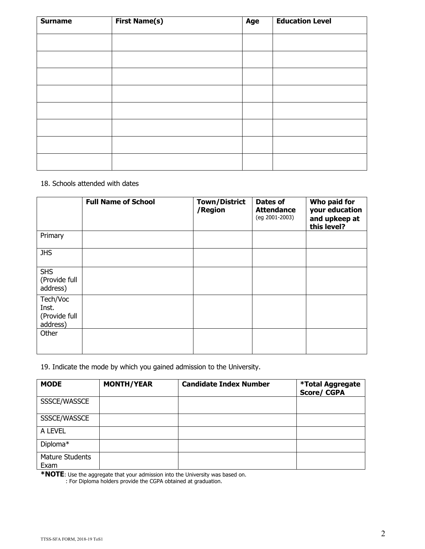| <b>Surname</b> | <b>First Name(s)</b> | Age | <b>Education Level</b> |
|----------------|----------------------|-----|------------------------|
|                |                      |     |                        |
|                |                      |     |                        |
|                |                      |     |                        |
|                |                      |     |                        |
|                |                      |     |                        |
|                |                      |     |                        |
|                |                      |     |                        |
|                |                      |     |                        |

### 18. Schools attended with dates

|                                                | <b>Full Name of School</b> | <b>Town/District</b><br>/Region | <b>Dates of</b><br><b>Attendance</b><br>(eg 2001-2003) | Who paid for<br>your education<br>and upkeep at<br>this level? |
|------------------------------------------------|----------------------------|---------------------------------|--------------------------------------------------------|----------------------------------------------------------------|
| Primary                                        |                            |                                 |                                                        |                                                                |
| <b>JHS</b>                                     |                            |                                 |                                                        |                                                                |
| <b>SHS</b><br>(Provide full<br>address)        |                            |                                 |                                                        |                                                                |
| Tech/Voc<br>Inst.<br>(Provide full<br>address) |                            |                                 |                                                        |                                                                |
| Other                                          |                            |                                 |                                                        |                                                                |

19. Indicate the mode by which you gained admission to the University.

| <b>MODE</b>                    | <b>MONTH/YEAR</b> | <b>Candidate Index Number</b> | <b>*Total Aggregate</b><br><b>Score/CGPA</b> |
|--------------------------------|-------------------|-------------------------------|----------------------------------------------|
| SSSCE/WASSCE                   |                   |                               |                                              |
| SSSCE/WASSCE                   |                   |                               |                                              |
| A LEVEL                        |                   |                               |                                              |
| Diploma*                       |                   |                               |                                              |
| <b>Mature Students</b><br>Exam |                   |                               |                                              |

**\*NOTE**: Use the aggregate that your admission into the University was based on.

: For Diploma holders provide the CGPA obtained at graduation.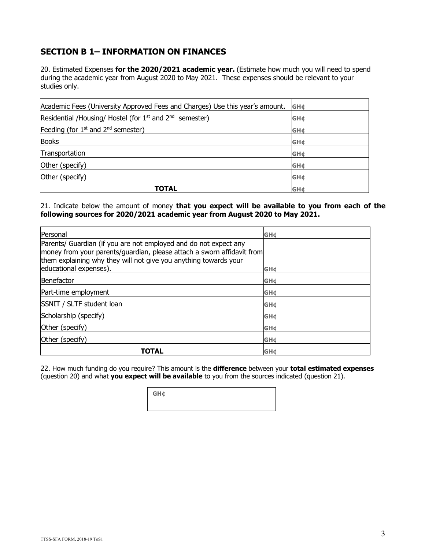## **SECTION B 1– INFORMATION ON FINANCES**

20. Estimated Expenses **for the 2020/2021 academic year.** (Estimate how much you will need to spend during the academic year from August 2020 to May 2021. These expenses should be relevant to your studies only.

| Academic Fees (University Approved Fees and Charges) Use this year's amount.    | <b>GH¢</b>             |
|---------------------------------------------------------------------------------|------------------------|
| Residential /Housing/ Hostel (for 1 <sup>st</sup> and 2 <sup>nd</sup> semester) | <b>GH¢</b>             |
| Feeding (for $1st$ and $2nd$ semester)                                          | <b>GH¢</b>             |
| <b>Books</b>                                                                    | <b>GH¢</b>             |
| Transportation                                                                  | <b>GH¢</b>             |
| Other (specify)                                                                 | <b>GH¢</b>             |
| Other (specify)                                                                 | <b>GH¢</b>             |
| TOTAL                                                                           | <b>GH</b> <sup>c</sup> |

21. Indicate below the amount of money **that you expect will be available to you from each of the following sources for 2020/2021 academic year from August 2020 to May 2021.** 

| Personal                                                                                                                                                                                                                                 | <b>GH¢</b> |
|------------------------------------------------------------------------------------------------------------------------------------------------------------------------------------------------------------------------------------------|------------|
| Parents/ Guardian (if you are not employed and do not expect any<br>money from your parents/guardian, please attach a sworn affidavit from<br>them explaining why they will not give you anything towards your<br>educational expenses). | <b>GH¢</b> |
| Benefactor                                                                                                                                                                                                                               | <b>GH¢</b> |
| Part-time employment                                                                                                                                                                                                                     | <b>GH¢</b> |
| <b>SSNIT / SLTF student loan</b>                                                                                                                                                                                                         | <b>GH¢</b> |
| Scholarship (specify)                                                                                                                                                                                                                    | <b>GH¢</b> |
| Other (specify)                                                                                                                                                                                                                          | <b>GH¢</b> |
| Other (specify)                                                                                                                                                                                                                          | <b>GH¢</b> |
| TOTAL                                                                                                                                                                                                                                    | <b>GH¢</b> |

22. How much funding do you require? This amount is the **difference** between your **total estimated expenses** (question 20) and what **you expect will be available** to you from the sources indicated (question 21).

**GH¢**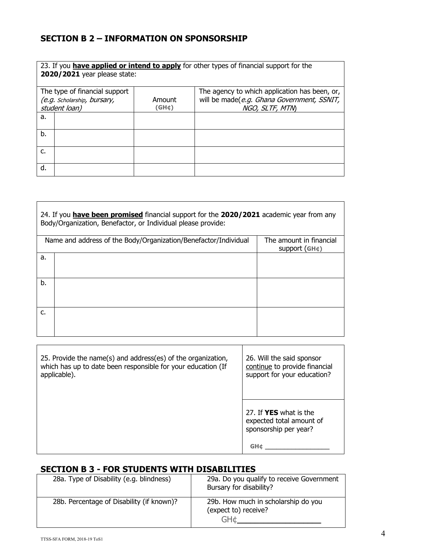# **SECTION B 2 – INFORMATION ON SPONSORSHIP**

|    | 2020/2021 year please state:                 |                       | 23. If you have applied or intend to apply for other types of financial support for the |
|----|----------------------------------------------|-----------------------|-----------------------------------------------------------------------------------------|
|    | The type of financial support                |                       | The agency to which application has been, or,                                           |
|    | (e.g. Scholarship, bursary,<br>student loan) | Amount<br>$(GH \phi)$ | will be made(e.g. Ghana Government, SSNIT,<br>NGO, SLTF, MTN)                           |
| a. |                                              |                       |                                                                                         |
| b. |                                              |                       |                                                                                         |
| c. |                                              |                       |                                                                                         |
| d. |                                              |                       |                                                                                         |

|    | 24. If you have been promised financial support for the 2020/2021 academic year from any<br>Body/Organization, Benefactor, or Individual please provide: |                                                      |
|----|----------------------------------------------------------------------------------------------------------------------------------------------------------|------------------------------------------------------|
|    | Name and address of the Body/Organization/Benefactor/Individual                                                                                          | The amount in financial<br>support(GH <sub>¢</sub> ) |
| a. |                                                                                                                                                          |                                                      |
| b. |                                                                                                                                                          |                                                      |
| c. |                                                                                                                                                          |                                                      |

| 25. Provide the name(s) and address(es) of the organization, | 26. Will the said sponsor                                                                 |
|--------------------------------------------------------------|-------------------------------------------------------------------------------------------|
| which has up to date been responsible for your education (If | continue to provide financial                                                             |
| applicable).                                                 | support for your education?                                                               |
|                                                              | 27. If <b>YES</b> what is the<br>expected total amount of<br>sponsorship per year?<br>GH¢ |

## **SECTION B 3 - FOR STUDENTS WITH DISABILITIES**

| 28a. Type of Disability (e.g. blindness)  | 29a. Do you qualify to receive Government<br>Bursary for disability? |
|-------------------------------------------|----------------------------------------------------------------------|
| 28b. Percentage of Disability (if known)? | 29b. How much in scholarship do you<br>(expect to) receive?<br>GH¢   |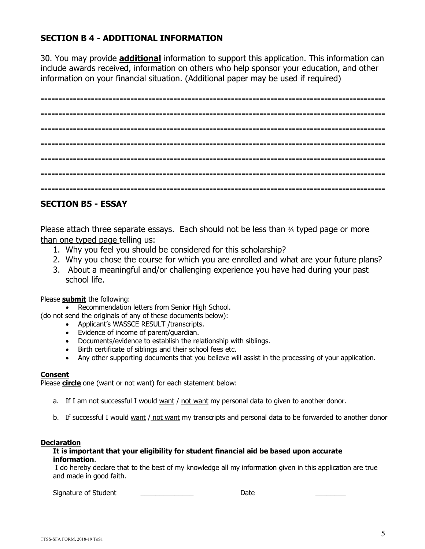## **SECTION B 4 - ADDITIONAL INFORMATION**

30. You may provide **additional** information to support this application. This information can include awards received, information on others who help sponsor your education, and other information on your financial situation. (Additional paper may be used if required)

**------------------------------------------------------------------------------------------------ ------------------------------------------------------------------------------------------------ ------------------------------------------------------------------------------------------------ ------------------------------------------------------------------------------------------------ ------------------------------------------------------------------------------------------------ ------------------------------------------------------------------------------------------------ ------------------------------------------------------------------------------------------------**

## **SECTION B5 - ESSAY**

Please attach three separate essays. Each should not be less than ⅔ typed page or more than one typed page telling us:

- 1. Why you feel you should be considered for this scholarship?
- 2. Why you chose the course for which you are enrolled and what are your future plans?
- 3. About a meaningful and/or challenging experience you have had during your past school life.

Please **submit** the following:

• Recommendation letters from Senior High School.

(do not send the originals of any of these documents below):

- Applicant's WASSCE RESULT /transcripts.
- Evidence of income of parent/guardian.
- Documents/evidence to establish the relationship with siblings.
- Birth certificate of siblings and their school fees etc.
- Any other supporting documents that you believe will assist in the processing of your application.

### **Consent**

Please **circle** one (want or not want) for each statement below:

- a. If I am not successful I would want / not want my personal data to given to another donor.
- b. If successful I would want / not want my transcripts and personal data to be forwarded to another donor

### **Declaration**

#### **It is important that your eligibility for student financial aid be based upon accurate information**.

I do hereby declare that to the best of my knowledge all my information given in this application are true and made in good faith.

Signature of Student **Exercise Student Date 2018**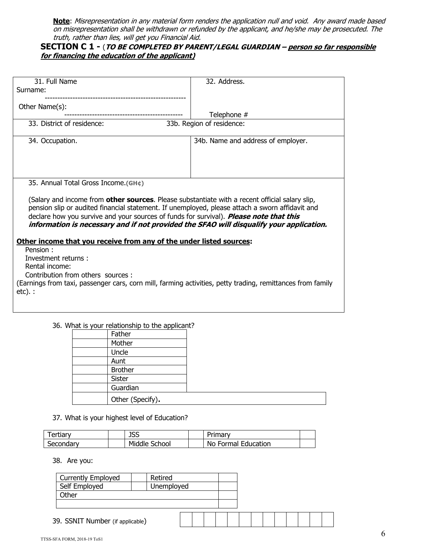**Note**: Misrepresentation in any material form renders the application null and void. Any award made based on misrepresentation shall be withdrawn or refunded by the applicant, and he/she may be prosecuted. The truth, rather than lies, will get you Financial Aid.

## **SECTION C 1 -** (**TO BE COMPLETED BY PARENT/LEGAL GUARDIAN – person so far responsible for financing the education of the applicant)**

| 31. Full Name                                                                                              | 32. Address.                       |
|------------------------------------------------------------------------------------------------------------|------------------------------------|
| Surname:                                                                                                   |                                    |
|                                                                                                            |                                    |
| Other Name(s):                                                                                             |                                    |
|                                                                                                            | Telephone #                        |
| 33. District of residence:                                                                                 | 33b. Region of residence:          |
|                                                                                                            |                                    |
|                                                                                                            |                                    |
| 34. Occupation.                                                                                            | 34b. Name and address of employer. |
|                                                                                                            |                                    |
|                                                                                                            |                                    |
|                                                                                                            |                                    |
|                                                                                                            |                                    |
| 35. Annual Total Gross Income.(GH¢)                                                                        |                                    |
|                                                                                                            |                                    |
| (Salary and income from <b>other sources</b> . Please substantiate with a recent official salary slip,     |                                    |
|                                                                                                            |                                    |
| pension slip or audited financial statement. If unemployed, please attach a sworn affidavit and            |                                    |
| declare how you survive and your sources of funds for survival). Please note that this                     |                                    |
| information is necessary and if not provided the SFAO will disqualify your application.                    |                                    |
|                                                                                                            |                                    |
| Other income that you receive from any of the under listed sources:                                        |                                    |
| Pension:                                                                                                   |                                    |
| Investment returns:                                                                                        |                                    |
| Rental income:                                                                                             |                                    |
| Contribution from others sources :                                                                         |                                    |
|                                                                                                            |                                    |
| (Earnings from taxi, passenger cars, corn mill, farming activities, petty trading, remittances from family |                                    |
| etc).:                                                                                                     |                                    |
|                                                                                                            |                                    |
|                                                                                                            |                                    |

36. What is your relationship to the applicant?

| Father           |  |
|------------------|--|
| Mother           |  |
| Uncle            |  |
| Aunt             |  |
| <b>Brother</b>   |  |
| <b>Sister</b>    |  |
| Guardian         |  |
| Other (Specify). |  |

37. What is your highest level of Education?

| Tertiary  | <b>JSS</b>    | Primarv             |  |
|-----------|---------------|---------------------|--|
| Secondary | Middle School | No Formal Education |  |

38. Are you:

| <b>Currently Employed</b>        | Retired    |  |  |  |  |  |  |  |
|----------------------------------|------------|--|--|--|--|--|--|--|
| Self Employed                    | Unemployed |  |  |  |  |  |  |  |
| Other                            |            |  |  |  |  |  |  |  |
|                                  |            |  |  |  |  |  |  |  |
| 39. SSNIT Number (if applicable) |            |  |  |  |  |  |  |  |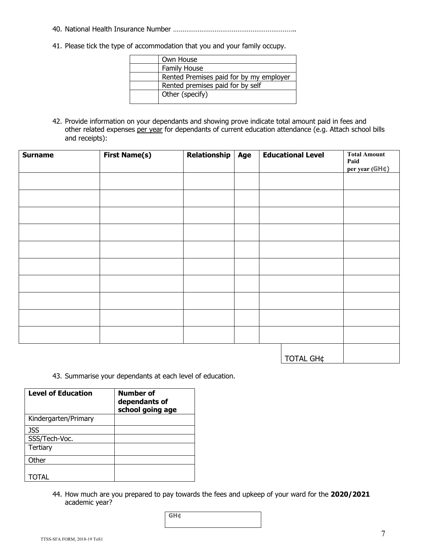- 40. National Health Insurance Number ………………………………………………………..
- 41. Please tick the type of accommodation that you and your family occupy.

| Own House                               |
|-----------------------------------------|
| <b>Family House</b>                     |
| Rented Premises paid for by my employer |
| Rented premises paid for by self        |
| Other (specify)                         |

42. Provide information on your dependants and showing prove indicate total amount paid in fees and other related expenses per year for dependants of current education attendance (e.g. Attach school bills and receipts):

| <b>Surname</b> | <b>First Name(s)</b> | Relationship | Age | <b>Educational Level</b> |                  | <b>Total Amount</b><br>Paid<br>per year ( $GH$ ¢) |
|----------------|----------------------|--------------|-----|--------------------------|------------------|---------------------------------------------------|
|                |                      |              |     |                          |                  |                                                   |
|                |                      |              |     |                          |                  |                                                   |
|                |                      |              |     |                          |                  |                                                   |
|                |                      |              |     |                          |                  |                                                   |
|                |                      |              |     |                          |                  |                                                   |
|                |                      |              |     |                          |                  |                                                   |
|                |                      |              |     |                          |                  |                                                   |
|                |                      |              |     |                          |                  |                                                   |
|                |                      |              |     |                          |                  |                                                   |
|                |                      |              |     |                          |                  |                                                   |
|                |                      |              |     |                          | <b>TOTAL GH¢</b> |                                                   |

43. Summarise your dependants at each level of education.

| <b>Level of Education</b> | Number of<br>dependants of<br>school going age |
|---------------------------|------------------------------------------------|
| Kindergarten/Primary      |                                                |
| JSS                       |                                                |
| SSS/Tech-Voc.             |                                                |
| <b>Tertiary</b>           |                                                |
| Other                     |                                                |
|                           |                                                |
| ΊΩΤΑΙ                     |                                                |

44. How much are you prepared to pay towards the fees and upkeep of your ward for the **2020/2021**  academic year?

| GH¢ |  |  |
|-----|--|--|
|     |  |  |